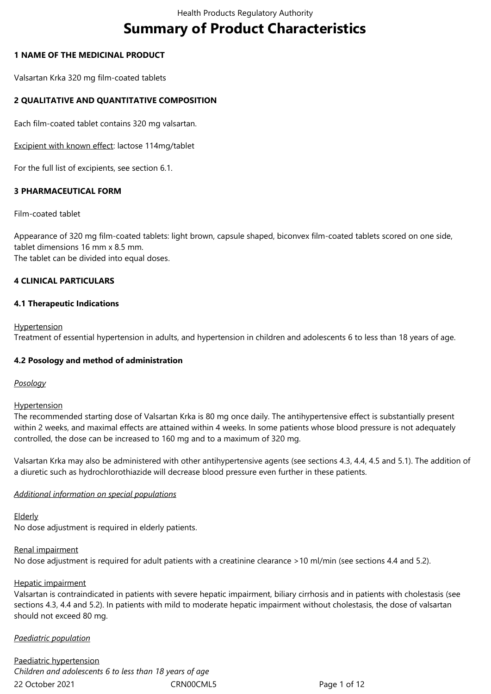# **Summary of Product Characteristics**

## **1 NAME OF THE MEDICINAL PRODUCT**

Valsartan Krka 320 mg film-coated tablets

# **2 QUALITATIVE AND QUANTITATIVE COMPOSITION**

Each film-coated tablet contains 320 mg valsartan.

Excipient with known effect: lactose 114mg/tablet

For the full list of excipients, see section 6.1.

# **3 PHARMACEUTICAL FORM**

## Film-coated tablet

Appearance of 320 mg film-coated tablets: light brown, capsule shaped, biconvex film-coated tablets scored on one side, tablet dimensions 16 mm x 8.5 mm. The tablet can be divided into equal doses.

# **4 CLINICAL PARTICULARS**

## **4.1 Therapeutic Indications**

#### **Hypertension**

Treatment of essential hypertension in adults, and hypertension in children and adolescents 6 to less than 18 years of age.

# **4.2 Posology and method of administration**

#### *Posology*

#### **Hypertension**

The recommended starting dose of Valsartan Krka is 80 mg once daily. The antihypertensive effect is substantially present within 2 weeks, and maximal effects are attained within 4 weeks. In some patients whose blood pressure is not adequately controlled, the dose can be increased to 160 mg and to a maximum of 320 mg.

Valsartan Krka may also be administered with other antihypertensive agents (see sections 4.3, 4.4, 4.5 and 5.1). The addition of a diuretic such as hydrochlorothiazide will decrease blood pressure even further in these patients.

#### *Additional information on special populations*

# Elderly

No dose adjustment is required in elderly patients.

# Renal impairment

No dose adjustment is required for adult patients with a creatinine clearance >10 ml/min (see sections 4.4 and 5.2).

# Hepatic impairment

Valsartan is contraindicated in patients with severe hepatic impairment, biliary cirrhosis and in patients with cholestasis (see sections 4.3, 4.4 and 5.2). In patients with mild to moderate hepatic impairment without cholestasis, the dose of valsartan should not exceed 80 mg.

# *Paediatric population*

22 October 2021 CRN00CML5 Page 1 of 12 Paediatric hypertension *Children and adolescents 6 to less than 18 years of age*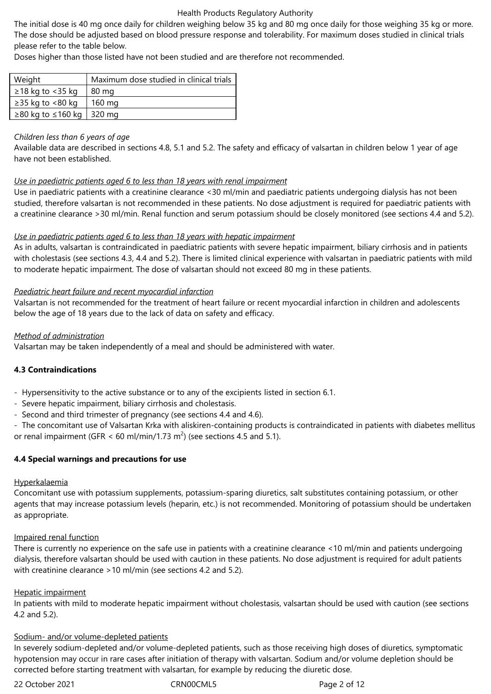The initial dose is 40 mg once daily for children weighing below 35 kg and 80 mg once daily for those weighing 35 kg or more. The dose should be adjusted based on blood pressure response and tolerability. For maximum doses studied in clinical trials please refer to the table below.

Doses higher than those listed have not been studied and are therefore not recommended.

| Weight                                 | Maximum dose studied in clinical trials |
|----------------------------------------|-----------------------------------------|
| $\geq$ 18 kg to <35 kg                 | 80 mg                                   |
| $\geq$ 35 kg to <80 kg                 | 160 mg                                  |
| $\geq$ 80 kg to $\leq$ 160 kg   320 mg |                                         |

## *Children less than 6 years of age*

Available data are described in sections 4.8, 5.1 and 5.2. The safety and efficacy of valsartan in children below 1 year of age have not been established.

## *Use in paediatric patients aged 6 to less than 18 years with renal impairment*

Use in paediatric patients with a creatinine clearance <30 ml/min and paediatric patients undergoing dialysis has not been studied, therefore valsartan is not recommended in these patients. No dose adjustment is required for paediatric patients with a creatinine clearance >30 ml/min. Renal function and serum potassium should be closely monitored (see sections 4.4 and 5.2).

## *Use in paediatric patients aged 6 to less than 18 years with hepatic impairment*

As in adults, valsartan is contraindicated in paediatric patients with severe hepatic impairment, biliary cirrhosis and in patients with cholestasis (see sections 4.3, 4.4 and 5.2). There is limited clinical experience with valsartan in paediatric patients with mild to moderate hepatic impairment. The dose of valsartan should not exceed 80 mg in these patients.

## *Paediatric heart failure and recent myocardial infarction*

Valsartan is not recommended for the treatment of heart failure or recent myocardial infarction in children and adolescents below the age of 18 years due to the lack of data on safety and efficacy.

## *Method of administration*

Valsartan may be taken independently of a meal and should be administered with water.

# **4.3 Contraindications**

- Hypersensitivity to the active substance or to any of the excipients listed in section 6.1.
- Severe hepatic impairment, biliary cirrhosis and cholestasis.
- Second and third trimester of pregnancy (see sections 4.4 and 4.6).

- The concomitant use of Valsartan Krka with aliskiren-containing products is contraindicated in patients with diabetes mellitus or renal impairment (GFR  $<$  60 ml/min/1.73 m<sup>2</sup>) (see sections 4.5 and 5.1).

# **4.4 Special warnings and precautions for use**

#### Hyperkalaemia

Concomitant use with potassium supplements, potassium-sparing diuretics, salt substitutes containing potassium, or other agents that may increase potassium levels (heparin, etc.) is not recommended. Monitoring of potassium should be undertaken as appropriate.

#### Impaired renal function

There is currently no experience on the safe use in patients with a creatinine clearance <10 ml/min and patients undergoing dialysis, therefore valsartan should be used with caution in these patients. No dose adjustment is required for adult patients with creatinine clearance >10 ml/min (see sections 4.2 and 5.2).

#### Hepatic impairment

In patients with mild to moderate hepatic impairment without cholestasis, valsartan should be used with caution (see sections 4.2 and 5.2).

#### Sodium- and/or volume-depleted patients

In severely sodium-depleted and/or volume-depleted patients, such as those receiving high doses of diuretics, symptomatic hypotension may occur in rare cases after initiation of therapy with valsartan. Sodium and/or volume depletion should be corrected before starting treatment with valsartan, for example by reducing the diuretic dose.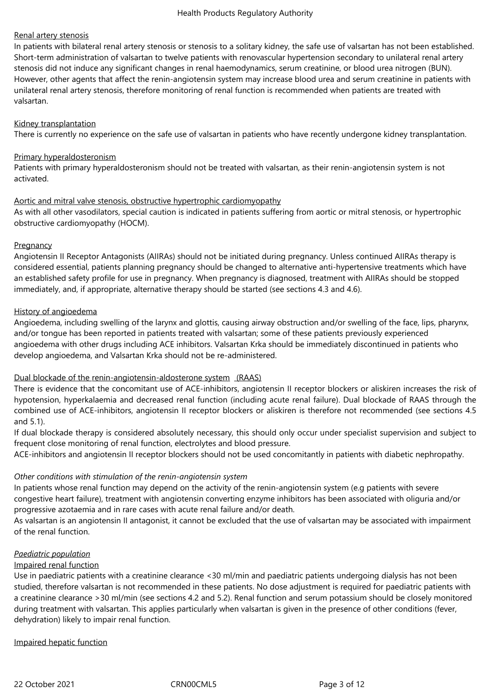## Renal artery stenosis

In patients with bilateral renal artery stenosis or stenosis to a solitary kidney, the safe use of valsartan has not been established. Short-term administration of valsartan to twelve patients with renovascular hypertension secondary to unilateral renal artery stenosis did not induce any significant changes in renal haemodynamics, serum creatinine, or blood urea nitrogen (BUN). However, other agents that affect the renin-angiotensin system may increase blood urea and serum creatinine in patients with unilateral renal artery stenosis, therefore monitoring of renal function is recommended when patients are treated with valsartan.

#### Kidney transplantation

There is currently no experience on the safe use of valsartan in patients who have recently undergone kidney transplantation.

## Primary hyperaldosteronism

Patients with primary hyperaldosteronism should not be treated with valsartan, as their renin-angiotensin system is not activated.

## Aortic and mitral valve stenosis, obstructive hypertrophic cardiomyopathy

As with all other vasodilators, special caution is indicated in patients suffering from aortic or mitral stenosis, or hypertrophic obstructive cardiomyopathy (HOCM).

## **Pregnancy**

Angiotensin II Receptor Antagonists (AIIRAs) should not be initiated during pregnancy. Unless continued AIIRAs therapy is considered essential, patients planning pregnancy should be changed to alternative anti-hypertensive treatments which have an established safety profile for use in pregnancy. When pregnancy is diagnosed, treatment with AIIRAs should be stopped immediately, and, if appropriate, alternative therapy should be started (see sections 4.3 and 4.6).

## History of angioedema

Angioedema, including swelling of the larynx and glottis, causing airway obstruction and/or swelling of the face, lips, pharynx, and/or tongue has been reported in patients treated with valsartan; some of these patients previously experienced angioedema with other drugs including ACE inhibitors. Valsartan Krka should be immediately discontinued in patients who develop angioedema, and Valsartan Krka should not be re-administered.

# Dual blockade of the renin-angiotensin-aldosterone system (RAAS)

There is evidence that the concomitant use of ACE-inhibitors, angiotensin II receptor blockers or aliskiren increases the risk of hypotension, hyperkalaemia and decreased renal function (including acute renal failure). Dual blockade of RAAS through the combined use of ACE-inhibitors, angiotensin II receptor blockers or aliskiren is therefore not recommended (see sections 4.5 and 5.1).

If dual blockade therapy is considered absolutely necessary, this should only occur under specialist supervision and subject to frequent close monitoring of renal function, electrolytes and blood pressure.

ACE-inhibitors and angiotensin II receptor blockers should not be used concomitantly in patients with diabetic nephropathy.

# *Other conditions with stimulation of the renin-angiotensin system*

In patients whose renal function may depend on the activity of the renin-angiotensin system (e.g patients with severe congestive heart failure), treatment with angiotensin converting enzyme inhibitors has been associated with oliguria and/or progressive azotaemia and in rare cases with acute renal failure and/or death.

As valsartan is an angiotensin II antagonist, it cannot be excluded that the use of valsartan may be associated with impairment of the renal function.

# *Paediatric population*

#### Impaired renal function

Use in paediatric patients with a creatinine clearance <30 ml/min and paediatric patients undergoing dialysis has not been studied, therefore valsartan is not recommended in these patients. No dose adjustment is required for paediatric patients with a creatinine clearance >30 ml/min (see sections 4.2 and 5.2). Renal function and serum potassium should be closely monitored during treatment with valsartan. This applies particularly when valsartan is given in the presence of other conditions (fever, dehydration) likely to impair renal function.

Impaired hepatic function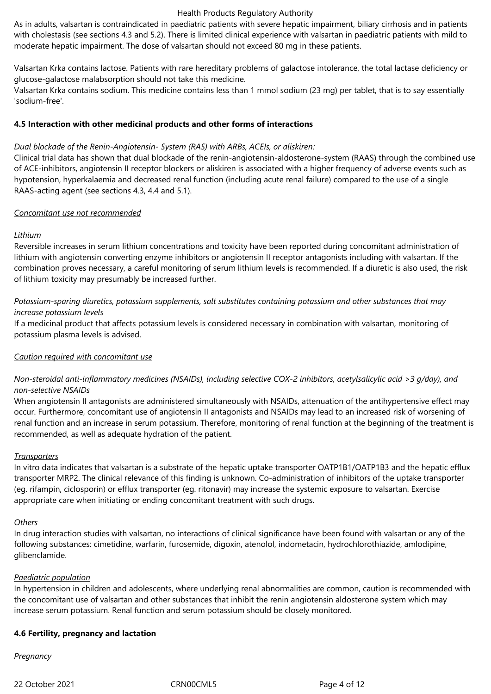As in adults, valsartan is contraindicated in paediatric patients with severe hepatic impairment, biliary cirrhosis and in patients with cholestasis (see sections 4.3 and 5.2). There is limited clinical experience with valsartan in paediatric patients with mild to moderate hepatic impairment. The dose of valsartan should not exceed 80 mg in these patients.

Valsartan Krka contains lactose. Patients with rare hereditary problems of galactose intolerance, the total lactase deficiency or glucose-galactose malabsorption should not take this medicine.

Valsartan Krka contains sodium. This medicine contains less than 1 mmol sodium (23 mg) per tablet, that is to say essentially 'sodium-free'.

#### **4.5 Interaction with other medicinal products and other forms of interactions**

## *Dual blockade of the Renin-Angiotensin- System (RAS) with ARBs, ACEIs, or aliskiren:*

Clinical trial data has shown that dual blockade of the renin-angiotensin-aldosterone-system (RAAS) through the combined use of ACE-inhibitors, angiotensin II receptor blockers or aliskiren is associated with a higher frequency of adverse events such as hypotension, hyperkalaemia and decreased renal function (including acute renal failure) compared to the use of a single RAAS-acting agent (see sections 4.3, 4.4 and 5.1).

#### *Concomitant use not recommended*

## *Lithium*

Reversible increases in serum lithium concentrations and toxicity have been reported during concomitant administration of lithium with angiotensin converting enzyme inhibitors or angiotensin II receptor antagonists including with valsartan. If the combination proves necessary, a careful monitoring of serum lithium levels is recommended. If a diuretic is also used, the risk of lithium toxicity may presumably be increased further.

# *Potassium-sparing diuretics, potassium supplements, salt substitutes containing potassium and other substances that may increase potassium levels*

If a medicinal product that affects potassium levels is considered necessary in combination with valsartan, monitoring of potassium plasma levels is advised.

# *Caution required with concomitant use*

# *Non-steroidal anti-inflammatory medicines (NSAIDs), including selective COX-2 inhibitors, acetylsalicylic acid >3 g/day), and non-selective NSAIDs*

When angiotensin II antagonists are administered simultaneously with NSAIDs, attenuation of the antihypertensive effect may occur. Furthermore, concomitant use of angiotensin II antagonists and NSAIDs may lead to an increased risk of worsening of renal function and an increase in serum potassium. Therefore, monitoring of renal function at the beginning of the treatment is recommended, as well as adequate hydration of the patient.

#### *Transporters*

In vitro data indicates that valsartan is a substrate of the hepatic uptake transporter OATP1B1/OATP1B3 and the hepatic efflux transporter MRP2. The clinical relevance of this finding is unknown. Co-administration of inhibitors of the uptake transporter (eg. rifampin, ciclosporin) or efflux transporter (eg. ritonavir) may increase the systemic exposure to valsartan. Exercise appropriate care when initiating or ending concomitant treatment with such drugs.

#### *Others*

In drug interaction studies with valsartan, no interactions of clinical significance have been found with valsartan or any of the following substances: cimetidine, warfarin, furosemide, digoxin, atenolol, indometacin, hydrochlorothiazide, amlodipine, glibenclamide.

#### *Paediatric population*

In hypertension in children and adolescents, where underlying renal abnormalities are common, caution is recommended with the concomitant use of valsartan and other substances that inhibit the renin angiotensin aldosterone system which may increase serum potassium. Renal function and serum potassium should be closely monitored.

#### **4.6 Fertility, pregnancy and lactation**

*Pregnancy*

22 October 2021 CRN00CML5 Page 4 of 12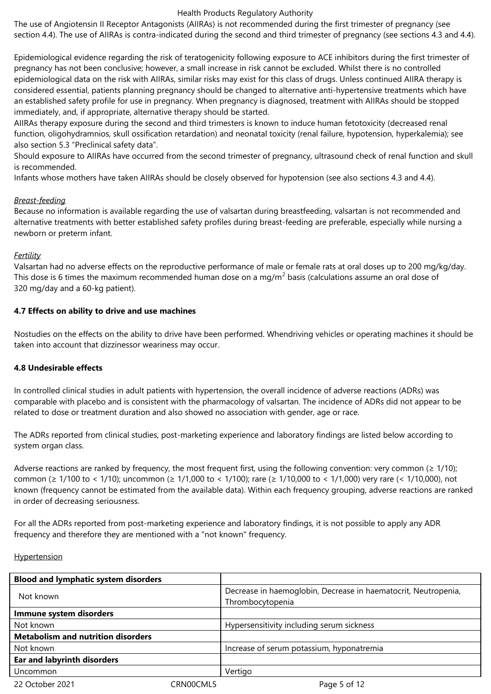The use of Angiotensin II Receptor Antagonists (AIIRAs) is not recommended during the first trimester of pregnancy (see section 4.4). The use of AIIRAs is contra-indicated during the second and third trimester of pregnancy (see sections 4.3 and 4.4).

Epidemiological evidence regarding the risk of teratogenicity following exposure to ACE inhibitors during the first trimester of pregnancy has not been conclusive; however, a small increase in risk cannot be excluded. Whilst there is no controlled epidemiological data on the risk with AIIRAs, similar risks may exist for this class of drugs. Unless continued AIIRA therapy is considered essential, patients planning pregnancy should be changed to alternative anti-hypertensive treatments which have an established safety profile for use in pregnancy. When pregnancy is diagnosed, treatment with AIIRAs should be stopped immediately, and, if appropriate, alternative therapy should be started.

AIIRAs therapy exposure during the second and third trimesters is known to induce human fetotoxicity (decreased renal function, oligohydramnios, skull ossification retardation) and neonatal toxicity (renal failure, hypotension, hyperkalemia); see also section 5.3 "Preclinical safety data".

Should exposure to AIIRAs have occurred from the second trimester of pregnancy, ultrasound check of renal function and skull is recommended.

Infants whose mothers have taken AIIRAs should be closely observed for hypotension (see also sections 4.3 and 4.4).

## *Breast-feeding*

Because no information is available regarding the use of valsartan during breastfeeding, valsartan is not recommended and alternative treatments with better established safety profiles during breast-feeding are preferable, especially while nursing a newborn or preterm infant.

## *Fertility*

Valsartan had no adverse effects on the reproductive performance of male or female rats at oral doses up to 200 mg/kg/day. This dose is 6 times the maximum recommended human dose on a mg/m<sup>2</sup> basis (calculations assume an oral dose of 320 mg/day and a 60-kg patient).

## **4.7 Effects on ability to drive and use machines**

Nostudies on the effects on the ability to drive have been performed. Whendriving vehicles or operating machines it should be taken into account that dizzinessor weariness may occur.

# **4.8 Undesirable effects**

In controlled clinical studies in adult patients with hypertension, the overall incidence of adverse reactions (ADRs) was comparable with placebo and is consistent with the pharmacology of valsartan. The incidence of ADRs did not appear to be related to dose or treatment duration and also showed no association with gender, age or race.

The ADRs reported from clinical studies, post-marketing experience and laboratory findings are listed below according to system organ class.

Adverse reactions are ranked by frequency, the most frequent first, using the following convention: very common ( $\geq$  1/10); common (≥ 1/100 to < 1/10); uncommon (≥ 1/1,000 to < 1/100); rare (≥ 1/10,000 to < 1/1,000) very rare (< 1/10,000), not known (frequency cannot be estimated from the available data). Within each frequency grouping, adverse reactions are ranked in order of decreasing seriousness.

For all the ADRs reported from post-marketing experience and laboratory findings, it is not possible to apply any ADR frequency and therefore they are mentioned with a "not known" frequency.

#### Hypertension

| <b>Blood and lymphatic system disorders</b> |           |                                                                |  |
|---------------------------------------------|-----------|----------------------------------------------------------------|--|
| Not known                                   |           | Decrease in haemoglobin, Decrease in haematocrit, Neutropenia, |  |
|                                             |           | Thrombocytopenia                                               |  |
| Immune system disorders                     |           |                                                                |  |
| Not known                                   |           | Hypersensitivity including serum sickness                      |  |
| <b>Metabolism and nutrition disorders</b>   |           |                                                                |  |
| Not known                                   |           | Increase of serum potassium, hyponatremia                      |  |
| <b>Ear and labyrinth disorders</b>          |           |                                                                |  |
| Uncommon                                    |           | Vertigo                                                        |  |
| 22 October 2021                             | CRN00CML5 | Page 5 of 12                                                   |  |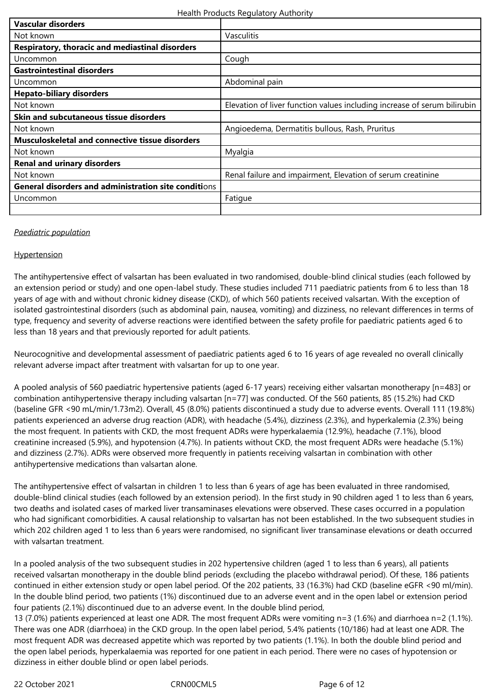| Vascular disorders                                     |                                                                          |
|--------------------------------------------------------|--------------------------------------------------------------------------|
| Not known                                              | Vasculitis                                                               |
| Respiratory, thoracic and mediastinal disorders        |                                                                          |
| Uncommon                                               | Cough                                                                    |
| <b>Gastrointestinal disorders</b>                      |                                                                          |
| Uncommon                                               | Abdominal pain                                                           |
| <b>Hepato-biliary disorders</b>                        |                                                                          |
| Not known                                              | Elevation of liver function values including increase of serum bilirubin |
| Skin and subcutaneous tissue disorders                 |                                                                          |
| Not known                                              | Angioedema, Dermatitis bullous, Rash, Pruritus                           |
| <b>Musculoskeletal and connective tissue disorders</b> |                                                                          |
| Not known                                              | Myalgia                                                                  |
| <b>Renal and urinary disorders</b>                     |                                                                          |
| Not known                                              | Renal failure and impairment, Elevation of serum creatinine              |
| General disorders and administration site conditions   |                                                                          |
| Uncommon                                               | Fatigue                                                                  |
|                                                        |                                                                          |

#### *Paediatric population*

#### **Hypertension**

The antihypertensive effect of valsartan has been evaluated in two randomised, double-blind clinical studies (each followed by an extension period or study) and one open-label study. These studies included 711 paediatric patients from 6 to less than 18 years of age with and without chronic kidney disease (CKD), of which 560 patients received valsartan. With the exception of isolated gastrointestinal disorders (such as abdominal pain, nausea, vomiting) and dizziness, no relevant differences in terms of type, frequency and severity of adverse reactions were identified between the safety profile for paediatric patients aged 6 to less than 18 years and that previously reported for adult patients.

Neurocognitive and developmental assessment of paediatric patients aged 6 to 16 years of age revealed no overall clinically relevant adverse impact after treatment with valsartan for up to one year.

A pooled analysis of 560 paediatric hypertensive patients (aged 6-17 years) receiving either valsartan monotherapy [n=483] or combination antihypertensive therapy including valsartan [n=77] was conducted. Of the 560 patients, 85 (15.2%) had CKD (baseline GFR <90 mL/min/1.73m2). Overall, 45 (8.0%) patients discontinued a study due to adverse events. Overall 111 (19.8%) patients experienced an adverse drug reaction (ADR), with headache (5.4%), dizziness (2.3%), and hyperkalemia (2.3%) being the most frequent. In patients with CKD, the most frequent ADRs were hyperkalaemia (12.9%), headache (7.1%), blood creatinine increased (5.9%), and hypotension (4.7%). In patients without CKD, the most frequent ADRs were headache (5.1%) and dizziness (2.7%). ADRs were observed more frequently in patients receiving valsartan in combination with other antihypertensive medications than valsartan alone.

The antihypertensive effect of valsartan in children 1 to less than 6 years of age has been evaluated in three randomised, double-blind clinical studies (each followed by an extension period). In the first study in 90 children aged 1 to less than 6 years, two deaths and isolated cases of marked liver transaminases elevations were observed. These cases occurred in a population who had significant comorbidities. A causal relationship to valsartan has not been established. In the two subsequent studies in which 202 children aged 1 to less than 6 years were randomised, no significant liver transaminase elevations or death occurred with valsartan treatment.

In a pooled analysis of the two subsequent studies in 202 hypertensive children (aged 1 to less than 6 years), all patients received valsartan monotherapy in the double blind periods (excluding the placebo withdrawal period). Of these, 186 patients continued in either extension study or open label period. Of the 202 patients, 33 (16.3%) had CKD (baseline eGFR <90 ml/min). In the double blind period, two patients (1%) discontinued due to an adverse event and in the open label or extension period four patients (2.1%) discontinued due to an adverse event. In the double blind period,

13 (7.0%) patients experienced at least one ADR. The most frequent ADRs were vomiting n=3 (1.6%) and diarrhoea n=2 (1.1%). There was one ADR (diarrhoea) in the CKD group. In the open label period, 5.4% patients (10/186) had at least one ADR. The most frequent ADR was decreased appetite which was reported by two patients (1.1%). In both the double blind period and the open label periods, hyperkalaemia was reported for one patient in each period. There were no cases of hypotension or dizziness in either double blind or open label periods.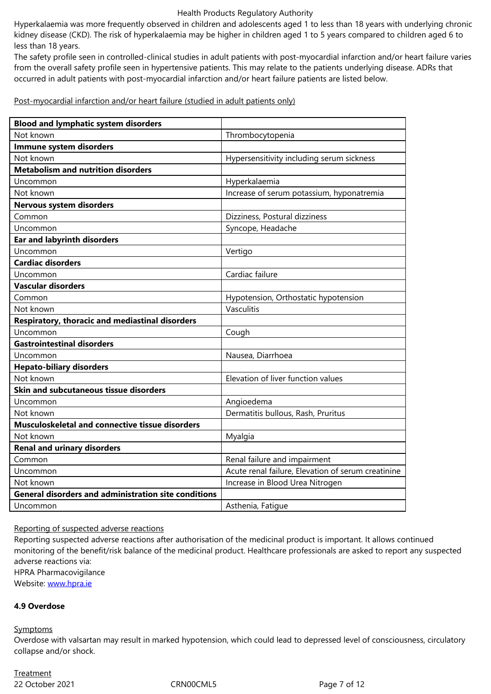less than 18 years.

The safety profile seen in controlled-clinical studies in adult patients with post-myocardial infarction and/or heart failure varies from the overall safety profile seen in hypertensive patients. This may relate to the patients underlying disease. ADRs that occurred in adult patients with post-myocardial infarction and/or heart failure patients are listed below.

Post-myocardial infarction and/or heart failure (studied in adult patients only)

| <b>Blood and lymphatic system disorders</b>                 |                                                    |
|-------------------------------------------------------------|----------------------------------------------------|
| Not known                                                   | Thrombocytopenia                                   |
| Immune system disorders                                     |                                                    |
| Not known                                                   | Hypersensitivity including serum sickness          |
| <b>Metabolism and nutrition disorders</b>                   |                                                    |
| Uncommon                                                    | Hyperkalaemia                                      |
| Not known                                                   | Increase of serum potassium, hyponatremia          |
| <b>Nervous system disorders</b>                             |                                                    |
| Common                                                      | Dizziness, Postural dizziness                      |
| Uncommon                                                    | Syncope, Headache                                  |
| <b>Ear and labyrinth disorders</b>                          |                                                    |
| Uncommon                                                    | Vertigo                                            |
| <b>Cardiac disorders</b>                                    |                                                    |
| Uncommon                                                    | Cardiac failure                                    |
| <b>Vascular disorders</b>                                   |                                                    |
| Common                                                      | Hypotension, Orthostatic hypotension               |
| Not known                                                   | Vasculitis                                         |
| Respiratory, thoracic and mediastinal disorders             |                                                    |
| Uncommon                                                    | Cough                                              |
| <b>Gastrointestinal disorders</b>                           |                                                    |
| Uncommon                                                    | Nausea, Diarrhoea                                  |
| <b>Hepato-biliary disorders</b>                             |                                                    |
| Not known                                                   | Elevation of liver function values                 |
| Skin and subcutaneous tissue disorders                      |                                                    |
| Uncommon                                                    | Angioedema                                         |
| Not known                                                   | Dermatitis bullous, Rash, Pruritus                 |
| Musculoskeletal and connective tissue disorders             |                                                    |
| Not known                                                   | Myalgia                                            |
| <b>Renal and urinary disorders</b>                          |                                                    |
| Common                                                      | Renal failure and impairment                       |
| Uncommon                                                    | Acute renal failure, Elevation of serum creatinine |
| Not known                                                   | Increase in Blood Urea Nitrogen                    |
| <b>General disorders and administration site conditions</b> |                                                    |
| Uncommon                                                    | Asthenia, Fatigue                                  |

Reporting of suspected adverse reactions

Reporting suspected adverse reactions after authorisation of the medicinal product is important. It allows continued monitoring of the benefit/risk balance of the medicinal product. Healthcare professionals are asked to report any suspected adverse reactions via:

HPRA Pharmacovigilance Website: www.hpra.ie

#### **4.9 Overdose**

**Sympto[ms](http://www.hpra.ie/)** 

Overdose with valsartan may result in marked hypotension, which could lead to depressed level of consciousness, circulatory collapse and/or shock.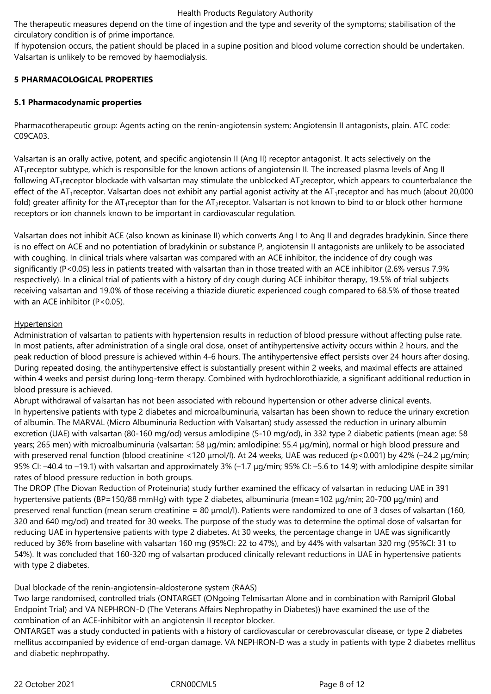The therapeutic measures depend on the time of ingestion and the type and severity of the symptoms; stabilisation of the circulatory condition is of prime importance.

If hypotension occurs, the patient should be placed in a supine position and blood volume correction should be undertaken. Valsartan is unlikely to be removed by haemodialysis.

# **5 PHARMACOLOGICAL PROPERTIES**

# **5.1 Pharmacodynamic properties**

Pharmacotherapeutic group: Agents acting on the renin-angiotensin system; Angiotensin II antagonists, plain. ATC code: C09CA03.

Valsartan is an orally active, potent, and specific angiotensin II (Ang II) receptor antagonist. It acts selectively on the AT<sub>1</sub>receptor subtype, which is responsible for the known actions of angiotensin II. The increased plasma levels of Ang II following  $AT_1$ receptor blockade with valsartan may stimulate the unblocked  $AT_2$ receptor, which appears to counterbalance the effect of the AT<sub>1</sub> receptor. Valsartan does not exhibit any partial agonist activity at the AT<sub>1</sub> receptor and has much (about 20,000) fold) greater affinity for the AT<sub>1</sub>receptor than for the AT<sub>2</sub>receptor. Valsartan is not known to bind to or block other hormone receptors or ion channels known to be important in cardiovascular regulation.

Valsartan does not inhibit ACE (also known as kininase II) which converts Ang I to Ang II and degrades bradykinin. Since there is no effect on ACE and no potentiation of bradykinin or substance P, angiotensin II antagonists are unlikely to be associated with coughing. In clinical trials where valsartan was compared with an ACE inhibitor, the incidence of dry cough was significantly (P<0.05) less in patients treated with valsartan than in those treated with an ACE inhibitor (2.6% versus 7.9% respectively). In a clinical trial of patients with a history of dry cough during ACE inhibitor therapy, 19.5% of trial subjects receiving valsartan and 19.0% of those receiving a thiazide diuretic experienced cough compared to 68.5% of those treated with an ACE inhibitor (P<0.05).

# **Hypertension**

Administration of valsartan to patients with hypertension results in reduction of blood pressure without affecting pulse rate. In most patients, after administration of a single oral dose, onset of antihypertensive activity occurs within 2 hours, and the peak reduction of blood pressure is achieved within 4-6 hours. The antihypertensive effect persists over 24 hours after dosing. During repeated dosing, the antihypertensive effect is substantially present within 2 weeks, and maximal effects are attained within 4 weeks and persist during long-term therapy. Combined with hydrochlorothiazide, a significant additional reduction in blood pressure is achieved.

Abrupt withdrawal of valsartan has not been associated with rebound hypertension or other adverse clinical events. In hypertensive patients with type 2 diabetes and microalbuminuria, valsartan has been shown to reduce the urinary excretion of albumin. The MARVAL (Micro Albuminuria Reduction with Valsartan) study assessed the reduction in urinary albumin excretion (UAE) with valsartan (80-160 mg/od) versus amlodipine (5-10 mg/od), in 332 type 2 diabetic patients (mean age: 58 years; 265 men) with microalbuminuria (valsartan: 58 μg/min; amlodipine: 55.4 μg/min), normal or high blood pressure and with preserved renal function (blood creatinine <120 μmol/l). At 24 weeks, UAE was reduced (p<0.001) by 42% (–24.2 μg/min; 95% CI: –40.4 to –19.1) with valsartan and approximately 3% (–1.7 μg/min; 95% CI: –5.6 to 14.9) with amlodipine despite similar rates of blood pressure reduction in both groups.

The DROP (The Diovan Reduction of Proteinuria) study further examined the efficacy of valsartan in reducing UAE in 391 hypertensive patients (BP=150/88 mmHg) with type 2 diabetes, albuminuria (mean=102 μg/min; 20-700 μg/min) and preserved renal function (mean serum creatinine = 80 μmol/l). Patients were randomized to one of 3 doses of valsartan (160, 320 and 640 mg/od) and treated for 30 weeks. The purpose of the study was to determine the optimal dose of valsartan for reducing UAE in hypertensive patients with type 2 diabetes. At 30 weeks, the percentage change in UAE was significantly reduced by 36% from baseline with valsartan 160 mg (95%CI: 22 to 47%), and by 44% with valsartan 320 mg (95%CI: 31 to 54%). It was concluded that 160-320 mg of valsartan produced clinically relevant reductions in UAE in hypertensive patients with type 2 diabetes.

# Dual blockade of the renin-angiotensin-aldosterone system (RAAS)

Two large randomised, controlled trials (ONTARGET (ONgoing Telmisartan Alone and in combination with Ramipril Global Endpoint Trial) and VA NEPHRON-D (The Veterans Affairs Nephropathy in Diabetes)) have examined the use of the combination of an ACE-inhibitor with an angiotensin II receptor blocker.

ONTARGET was a study conducted in patients with a history of cardiovascular or cerebrovascular disease, or type 2 diabetes mellitus accompanied by evidence of end-organ damage. VA NEPHRON-D was a study in patients with type 2 diabetes mellitus and diabetic nephropathy.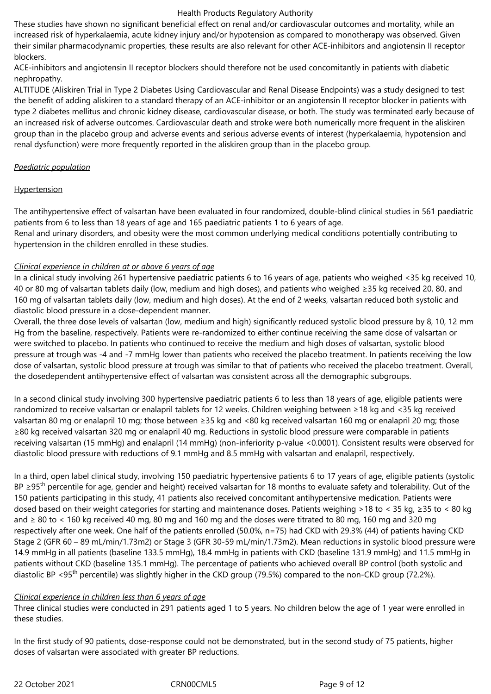These studies have shown no significant beneficial effect on renal and/or cardiovascular outcomes and mortality, while an increased risk of hyperkalaemia, acute kidney injury and/or hypotension as compared to monotherapy was observed. Given their similar pharmacodynamic properties, these results are also relevant for other ACE-inhibitors and angiotensin II receptor blockers.

ACE-inhibitors and angiotensin II receptor blockers should therefore not be used concomitantly in patients with diabetic nephropathy.

ALTITUDE (Aliskiren Trial in Type 2 Diabetes Using Cardiovascular and Renal Disease Endpoints) was a study designed to test the benefit of adding aliskiren to a standard therapy of an ACE-inhibitor or an angiotensin II receptor blocker in patients with type 2 diabetes mellitus and chronic kidney disease, cardiovascular disease, or both. The study was terminated early because of an increased risk of adverse outcomes. Cardiovascular death and stroke were both numerically more frequent in the aliskiren group than in the placebo group and adverse events and serious adverse events of interest (hyperkalaemia, hypotension and renal dysfunction) were more frequently reported in the aliskiren group than in the placebo group.

#### *Paediatric population*

## **Hypertension**

The antihypertensive effect of valsartan have been evaluated in four randomized, double-blind clinical studies in 561 paediatric patients from 6 to less than 18 years of age and 165 paediatric patients 1 to 6 years of age.

Renal and urinary disorders, and obesity were the most common underlying medical conditions potentially contributing to hypertension in the children enrolled in these studies.

## *Clinical experience in children at or above 6 years of age*

In a clinical study involving 261 hypertensive paediatric patients 6 to 16 years of age, patients who weighed <35 kg received 10, 40 or 80 mg of valsartan tablets daily (low, medium and high doses), and patients who weighed ≥35 kg received 20, 80, and 160 mg of valsartan tablets daily (low, medium and high doses). At the end of 2 weeks, valsartan reduced both systolic and diastolic blood pressure in a dose-dependent manner.

Overall, the three dose levels of valsartan (low, medium and high) significantly reduced systolic blood pressure by 8, 10, 12 mm Hg from the baseline, respectively. Patients were re-randomized to either continue receiving the same dose of valsartan or were switched to placebo. In patients who continued to receive the medium and high doses of valsartan, systolic blood pressure at trough was -4 and -7 mmHg lower than patients who received the placebo treatment. In patients receiving the low dose of valsartan, systolic blood pressure at trough was similar to that of patients who received the placebo treatment. Overall, the dosedependent antihypertensive effect of valsartan was consistent across all the demographic subgroups.

In a second clinical study involving 300 hypertensive paediatric patients 6 to less than 18 years of age, eligible patients were randomized to receive valsartan or enalapril tablets for 12 weeks. Children weighing between ≥18 kg and <35 kg received valsartan 80 mg or enalapril 10 mg; those between ≥35 kg and <80 kg received valsartan 160 mg or enalapril 20 mg; those ≥80 kg received valsartan 320 mg or enalapril 40 mg. Reductions in systolic blood pressure were comparable in patients receiving valsartan (15 mmHg) and enalapril (14 mmHg) (non-inferiority p-value <0.0001). Consistent results were observed for diastolic blood pressure with reductions of 9.1 mmHg and 8.5 mmHg with valsartan and enalapril, respectively.

In a third, open label clinical study, involving 150 paediatric hypertensive patients 6 to 17 years of age, eligible patients (systolic BP ≥95<sup>th</sup> percentile for age, gender and height) received valsartan for 18 months to evaluate safety and tolerability. Out of the 150 patients participating in this study, 41 patients also received concomitant antihypertensive medication. Patients were dosed based on their weight categories for starting and maintenance doses. Patients weighing >18 to < 35 kg, ≥35 to < 80 kg and ≥ 80 to < 160 kg received 40 mg, 80 mg and 160 mg and the doses were titrated to 80 mg, 160 mg and 320 mg respectively after one week. One half of the patients enrolled (50.0%, n=75) had CKD with 29.3% (44) of patients having CKD Stage 2 (GFR 60 – 89 mL/min/1.73m2) or Stage 3 (GFR 30-59 mL/min/1.73m2). Mean reductions in systolic blood pressure were 14.9 mmHg in all patients (baseline 133.5 mmHg), 18.4 mmHg in patients with CKD (baseline 131.9 mmHg) and 11.5 mmHg in patients without CKD (baseline 135.1 mmHg). The percentage of patients who achieved overall BP control (both systolic and diastolic BP <95<sup>th</sup> percentile) was slightly higher in the CKD group (79.5%) compared to the non-CKD group (72.2%).

#### *Clinical experience in children less than 6 years of age*

Three clinical studies were conducted in 291 patients aged 1 to 5 years. No children below the age of 1 year were enrolled in these studies.

In the first study of 90 patients, dose-response could not be demonstrated, but in the second study of 75 patients, higher doses of valsartan were associated with greater BP reductions.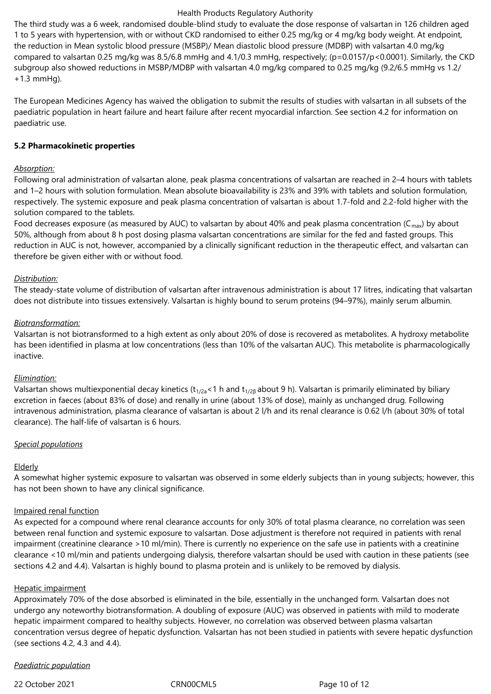The third study was a 6 week, randomised double-blind study to evaluate the dose response of valsartan in 126 children aged 1 to 5 years with hypertension, with or without CKD randomised to either 0.25 mg/kg or 4 mg/kg body weight. At endpoint, the reduction in Mean systolic blood pressure (MSBP)/ Mean diastolic blood pressure (MDBP) with valsartan 4.0 mg/kg compared to valsartan 0.25 mg/kg was 8.5/6.8 mmHg and 4.1/0.3 mmHg, respectively; (p=0.0157/p<0.0001). Similarly, the CKD subgroup also showed reductions in MSBP/MDBP with valsartan 4.0 mg/kg compared to 0.25 mg/kg (9.2/6.5 mmHg vs 1.2/ +1.3 mmHg).

The European Medicines Agency has waived the obligation to submit the results of studies with valsartan in all subsets of the paediatric population in heart failure and heart failure after recent myocardial infarction. See section 4.2 for information on paediatric use.

## **5.2 Pharmacokinetic properties**

#### *Absorption:*

Following oral administration of valsartan alone, peak plasma concentrations of valsartan are reached in 2–4 hours with tablets and 1–2 hours with solution formulation. Mean absolute bioavailability is 23% and 39% with tablets and solution formulation, respectively. The systemic exposure and peak plasma concentration of valsartan is about 1.7-fold and 2.2-fold higher with the solution compared to the tablets.

Food decreases exposure (as measured by AUC) to valsartan by about 40% and peak plasma concentration ( $C_{\text{max}}$ ) by about 50%, although from about 8 h post dosing plasma valsartan concentrations are similar for the fed and fasted groups. This reduction in AUC is not, however, accompanied by a clinically significant reduction in the therapeutic effect, and valsartan can therefore be given either with or without food.

## *Distribution:*

The steady-state volume of distribution of valsartan after intravenous administration is about 17 litres, indicating that valsartan does not distribute into tissues extensively. Valsartan is highly bound to serum proteins (94–97%), mainly serum albumin.

## *Biotransformation:*

Valsartan is not biotransformed to a high extent as only about 20% of dose is recovered as metabolites. A hydroxy metabolite has been identified in plasma at low concentrations (less than 10% of the valsartan AUC). This metabolite is pharmacologically inactive.

#### *Elimination:*

Valsartan shows multiexponential decay kinetics ( $t_{1/2a}$ <1 h and  $t_{1/2B}$  about 9 h). Valsartan is primarily eliminated by biliary excretion in faeces (about 83% of dose) and renally in urine (about 13% of dose), mainly as unchanged drug. Following intravenous administration, plasma clearance of valsartan is about 2 l/h and its renal clearance is 0.62 l/h (about 30% of total clearance). The half-life of valsartan is 6 hours.

#### *Special populations*

#### Elderly

A somewhat higher systemic exposure to valsartan was observed in some elderly subjects than in young subjects; however, this has not been shown to have any clinical significance.

#### Impaired renal function

As expected for a compound where renal clearance accounts for only 30% of total plasma clearance, no correlation was seen between renal function and systemic exposure to valsartan. Dose adjustment is therefore not required in patients with renal impairment (creatinine clearance >10 ml/min). There is currently no experience on the safe use in patients with a creatinine clearance <10 ml/min and patients undergoing dialysis, therefore valsartan should be used with caution in these patients (see sections 4.2 and 4.4). Valsartan is highly bound to plasma protein and is unlikely to be removed by dialysis.

#### Hepatic impairment

Approximately 70% of the dose absorbed is eliminated in the bile, essentially in the unchanged form. Valsartan does not undergo any noteworthy biotransformation. A doubling of exposure (AUC) was observed in patients with mild to moderate hepatic impairment compared to healthy subjects. However, no correlation was observed between plasma valsartan concentration versus degree of hepatic dysfunction. Valsartan has not been studied in patients with severe hepatic dysfunction (see sections 4.2, 4.3 and 4.4).

# *Paediatric population*

22 October 2021 CRN00CML5 Page 10 of 12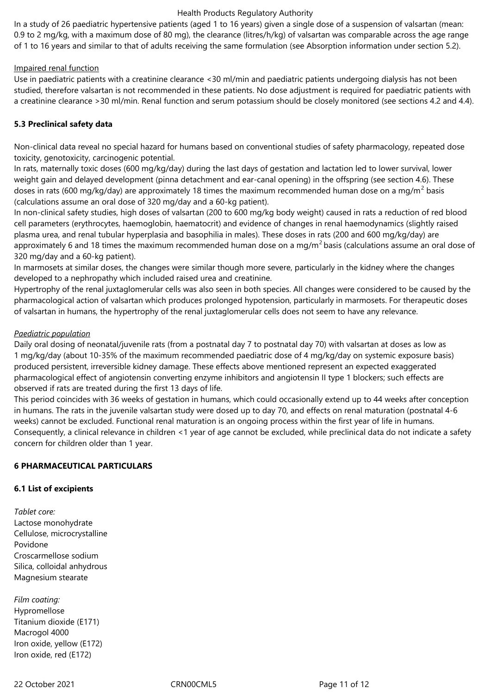In a study of 26 paediatric hypertensive patients (aged 1 to 16 years) given a single dose of a suspension of valsartan (mean: 0.9 to 2 mg/kg, with a maximum dose of 80 mg), the clearance (litres/h/kg) of valsartan was comparable across the age range of 1 to 16 years and similar to that of adults receiving the same formulation (see Absorption information under section 5.2).

#### Impaired renal function

Use in paediatric patients with a creatinine clearance <30 ml/min and paediatric patients undergoing dialysis has not been studied, therefore valsartan is not recommended in these patients. No dose adjustment is required for paediatric patients with a creatinine clearance >30 ml/min. Renal function and serum potassium should be closely monitored (see sections 4.2 and 4.4).

# **5.3 Preclinical safety data**

Non-clinical data reveal no special hazard for humans based on conventional studies of safety pharmacology, repeated dose toxicity, genotoxicity, carcinogenic potential.

In rats, maternally toxic doses (600 mg/kg/day) during the last days of gestation and lactation led to lower survival, lower weight gain and delayed development (pinna detachment and ear-canal opening) in the offspring (see section 4.6). These doses in rats (600 mg/kg/day) are approximately 18 times the maximum recommended human dose on a mg/m<sup>2</sup> basis (calculations assume an oral dose of 320 mg/day and a 60-kg patient).

In non-clinical safety studies, high doses of valsartan (200 to 600 mg/kg body weight) caused in rats a reduction of red blood cell parameters (erythrocytes, haemoglobin, haematocrit) and evidence of changes in renal haemodynamics (slightly raised plasma urea, and renal tubular hyperplasia and basophilia in males). These doses in rats (200 and 600 mg/kg/day) are approximately 6 and 18 times the maximum recommended human dose on a mg/m<sup>2</sup> basis (calculations assume an oral dose of 320 mg/day and a 60-kg patient).

In marmosets at similar doses, the changes were similar though more severe, particularly in the kidney where the changes developed to a nephropathy which included raised urea and creatinine.

Hypertrophy of the renal juxtaglomerular cells was also seen in both species. All changes were considered to be caused by the pharmacological action of valsartan which produces prolonged hypotension, particularly in marmosets. For therapeutic doses of valsartan in humans, the hypertrophy of the renal juxtaglomerular cells does not seem to have any relevance.

# *Paediatric population*

Daily oral dosing of neonatal/juvenile rats (from a postnatal day 7 to postnatal day 70) with valsartan at doses as low as 1 mg/kg/day (about 10-35% of the maximum recommended paediatric dose of 4 mg/kg/day on systemic exposure basis) produced persistent, irreversible kidney damage. These effects above mentioned represent an expected exaggerated pharmacological effect of angiotensin converting enzyme inhibitors and angiotensin II type 1 blockers; such effects are observed if rats are treated during the first 13 days of life.

This period coincides with 36 weeks of gestation in humans, which could occasionally extend up to 44 weeks after conception in humans. The rats in the juvenile valsartan study were dosed up to day 70, and effects on renal maturation (postnatal 4-6 weeks) cannot be excluded. Functional renal maturation is an ongoing process within the first year of life in humans. Consequently, a clinical relevance in children <1 year of age cannot be excluded, while preclinical data do not indicate a safety concern for children older than 1 year.

# **6 PHARMACEUTICAL PARTICULARS**

# **6.1 List of excipients**

*Tablet core:* Lactose monohydrate Cellulose, microcrystalline Povidone Croscarmellose sodium Silica, colloidal anhydrous Magnesium stearate

*Film coating:* Hypromellose Titanium dioxide (E171) Macrogol 4000 Iron oxide, yellow (E172) Iron oxide, red (E172)